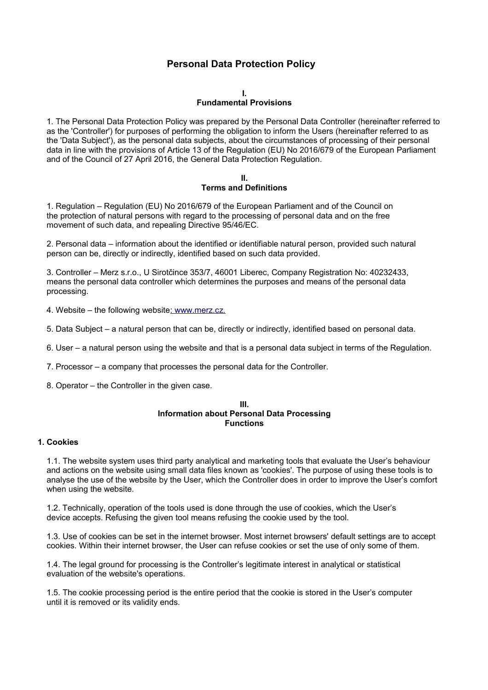# **Personal Data Protection Policy**

#### **I.**

# **Fundamental Provisions**

1. The Personal Data Protection Policy was prepared by the Personal Data Controller (hereinafter referred to as the 'Controller') for purposes of performing the obligation to inform the Users (hereinafter referred to as the 'Data Subject'), as the personal data subjects, about the circumstances of processing of their personal data in line with the provisions of Article 13 of the Regulation (EU) No 2016/679 of the European Parliament and of the Council of 27 April 2016, the General Data Protection Regulation.

### **II. Terms and Definitions**

1. Regulation – Regulation (EU) No 2016/679 of the European Parliament and of the Council on the protection of natural persons with regard to the processing of personal data and on the free movement of such data, and repealing Directive 95/46/EC.

2. Personal data – information about the identified or identifiable natural person, provided such natural person can be, directly or indirectly, identified based on such data provided.

3. Controller – Merz s.r.o., U Sirotčince 353/7, 46001 Liberec, Company Registration No: 40232433, means the personal data controller which determines the purposes and means of the personal data processing.

- 4. Website the following websit[e: www.merz.cz.](http://www.merz.cz/)
- 5. Data Subject a natural person that can be, directly or indirectly, identified based on personal data.
- 6. User a natural person using the website and that is a personal data subject in terms of the Regulation.
- 7. Processor a company that processes the personal data for the Controller.
- 8. Operator the Controller in the given case.

### **III. Information about Personal Data Processing Functions**

### **1. Cookies**

1.1. The website system uses third party analytical and marketing tools that evaluate the User's behaviour and actions on the website using small data files known as 'cookies'. The purpose of using these tools is to analyse the use of the website by the User, which the Controller does in order to improve the User's comfort when using the website.

1.2. Technically, operation of the tools used is done through the use of cookies, which the User's device accepts. Refusing the given tool means refusing the cookie used by the tool.

1.3. Use of cookies can be set in the internet browser. Most internet browsers' default settings are to accept cookies. Within their internet browser, the User can refuse cookies or set the use of only some of them.

1.4. The legal ground for processing is the Controller's legitimate interest in analytical or statistical evaluation of the website's operations.

1.5. The cookie processing period is the entire period that the cookie is stored in the User's computer until it is removed or its validity ends.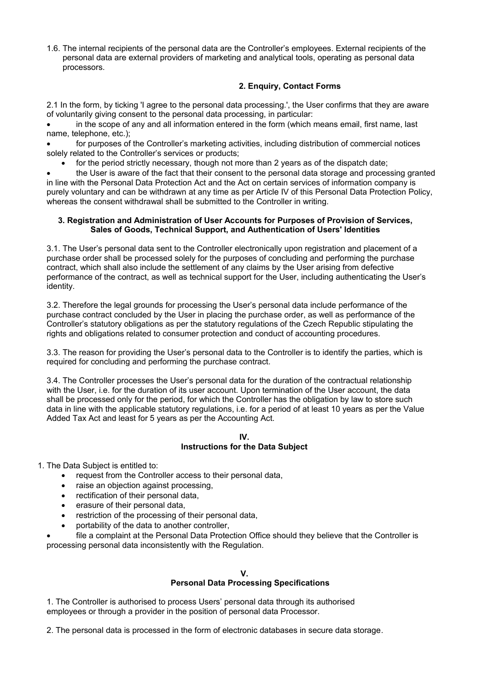1.6. The internal recipients of the personal data are the Controller's employees. External recipients of the personal data are external providers of marketing and analytical tools, operating as personal data processors.

# **2. Enquiry, Contact Forms**

2.1 In the form, by ticking 'I agree to the personal data processing.', the User confirms that they are aware of voluntarily giving consent to the personal data processing, in particular:

 in the scope of any and all information entered in the form (which means email, first name, last name, telephone, etc.);

 for purposes of the Controller's marketing activities, including distribution of commercial notices solely related to the Controller's services or products;

for the period strictly necessary, though not more than 2 years as of the dispatch date;

 the User is aware of the fact that their consent to the personal data storage and processing granted in line with the Personal Data Protection Act and the Act on certain services of information company is purely voluntary and can be withdrawn at any time as per Article IV of this Personal Data Protection Policy, whereas the consent withdrawal shall be submitted to the Controller in writing.

## **3. Registration and Administration of User Accounts for Purposes of Provision of Services, Sales of Goods, Technical Support, and Authentication of Users' Identities**

3.1. The User's personal data sent to the Controller electronically upon registration and placement of a purchase order shall be processed solely for the purposes of concluding and performing the purchase contract, which shall also include the settlement of any claims by the User arising from defective performance of the contract, as well as technical support for the User, including authenticating the User's identity.

3.2. Therefore the legal grounds for processing the User's personal data include performance of the purchase contract concluded by the User in placing the purchase order, as well as performance of the Controller's statutory obligations as per the statutory regulations of the Czech Republic stipulating the rights and obligations related to consumer protection and conduct of accounting procedures.

3.3. The reason for providing the User's personal data to the Controller is to identify the parties, which is required for concluding and performing the purchase contract.

3.4. The Controller processes the User's personal data for the duration of the contractual relationship with the User, i.e. for the duration of its user account. Upon termination of the User account, the data shall be processed only for the period, for which the Controller has the obligation by law to store such data in line with the applicable statutory regulations, i.e. for a period of at least 10 years as per the Value Added Tax Act and least for 5 years as per the Accounting Act.

#### **IV. Instructions for the Data Subject**

1. The Data Subject is entitled to:

- request from the Controller access to their personal data,
- raise an objection against processing,
- rectification of their personal data,
- erasure of their personal data,
- restriction of the processing of their personal data,
- portability of the data to another controller,

 file a complaint at the Personal Data Protection Office should they believe that the Controller is processing personal data inconsistently with the Regulation.

### **V. Personal Data Processing Specifications**

1. The Controller is authorised to process Users' personal data through its authorised employees or through a provider in the position of personal data Processor.

2. The personal data is processed in the form of electronic databases in secure data storage*.*